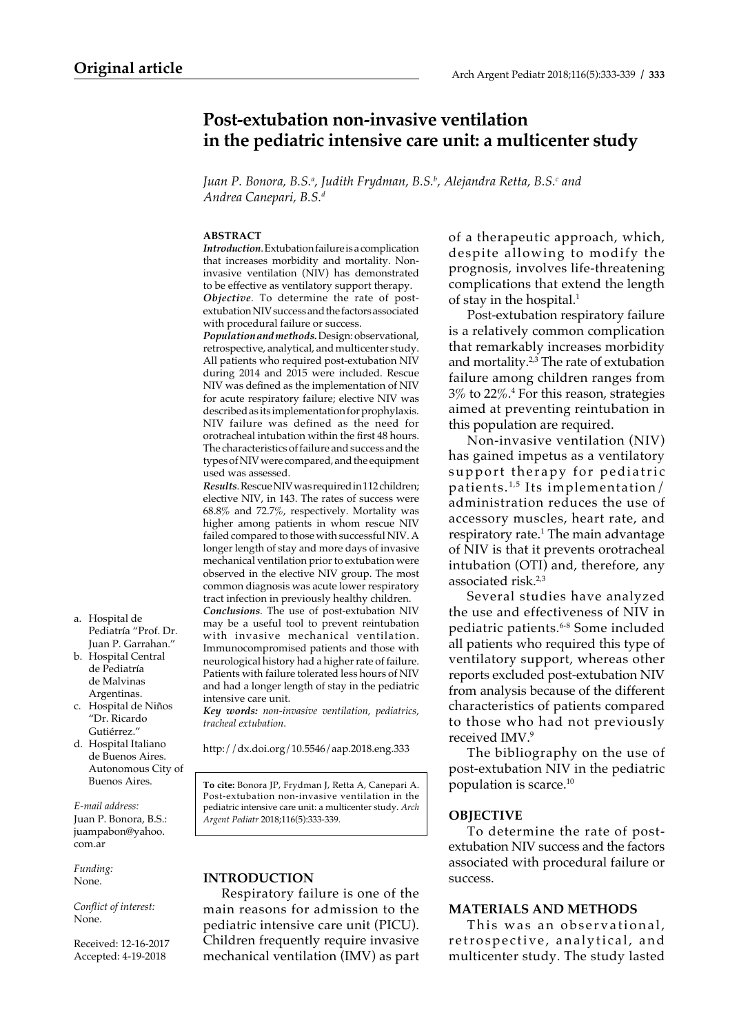# **Post-extubation non-invasive ventilation in the pediatric intensive care unit: a multicenter study**

Juan P. Bonora, B.S.ª, Judith Frydman, B.S.<sup>ь</sup>, Alejandra Retta, B.S.<sup>c</sup> and *Andrea Canepari, B.S.d*

#### **ABSTRACT**

*Introduction*. Extubation failure is a complication that increases morbidity and mortality. Noninvasive ventilation (NIV) has demonstrated to be effective as ventilatory support therapy. *Objective*. To determine the rate of postextubation NIV success and the factors associated with procedural failure or success.

*Population and methods.* Design: observational, retrospective, analytical, and multicenter study. All patients who required post-extubation NIV during 2014 and 2015 were included. Rescue NIV was defined as the implementation of NIV for acute respiratory failure; elective NIV was described as its implementation for prophylaxis. NIV failure was defined as the need for orotracheal intubation within the first 48 hours. The characteristics of failure and success and the types of NIV were compared, and the equipment used was assessed.

*Results*. Rescue NIV was required in 112 children; elective NIV, in 143. The rates of success were 68.8% and 72.7%, respectively. Mortality was higher among patients in whom rescue NIV failed compared to those with successful NIV. A longer length of stay and more days of invasive mechanical ventilation prior to extubation were observed in the elective NIV group. The most common diagnosis was acute lower respiratory tract infection in previously healthy children. *Conclusions*. The use of post-extubation NIV may be a useful tool to prevent reintubation with invasive mechanical ventilation. Immunocompromised patients and those with neurological history had a higher rate of failure. Patients with failure tolerated less hours of NIV and had a longer length of stay in the pediatric intensive care unit.

*Key words: non-invasive ventilation, pediatrics, tracheal extubation.*

http://dx.doi.org/10.5546/aap.2018.eng.333

**To cite:** Bonora JP, Frydman J, Retta A, Canepari A. Post-extubation non-invasive ventilation in the pediatric intensive care unit: a multicenter study. *Arch Argent Pediatr* 2018;116(5):333-339.

# **INTRODUCTION**

Respiratory failure is one of the main reasons for admission to the pediatric intensive care unit (PICU). Children frequently require invasive mechanical ventilation (IMV) as part of a therapeutic approach, which, despite allowing to modify the prognosis, involves life-threatening complications that extend the length of stay in the hospital.<sup>1</sup>

Post-extubation respiratory failure is a relatively common complication that remarkably increases morbidity and mortality.2,3 The rate of extubation failure among children ranges from  $3\%$  to  $22\%.$  For this reason, strategies aimed at preventing reintubation in this population are required.

Non-invasive ventilation (NIV) has gained impetus as a ventilatory support therapy for pediatric patients. $1,5$  Its implementation/ administration reduces the use of accessory muscles, heart rate, and respiratory rate.<sup>1</sup> The main advantage of NIV is that it prevents orotracheal intubation (OTI) and, therefore, any associated risk.2,3

Several studies have analyzed the use and effectiveness of NIV in pediatric patients.6-8 Some included all patients who required this type of ventilatory support, whereas other reports excluded post-extubation NIV from analysis because of the different characteristics of patients compared to those who had not previously received IMV.9

The bibliography on the use of post-extubation NIV in the pediatric population is scarce.10

# **OBJECTIVE**

To determine the rate of postextubation NIV success and the factors associated with procedural failure or success.

# **MATERIALS AND METHODS**

This was an observational, retrospective, analytical, and multicenter study. The study lasted

- a. Hospital de Pediatría "Prof. Dr. Juan P. Garrahan."
- b. Hospital Central de Pediatría de Malvinas Argentinas.
- c. Hospital de Niños "Dr. Ricardo Gutiérrez."
- d. Hospital Italiano de Buenos Aires. Autonomous City of Buenos Aires.

*E-mail address:* Juan P. Bonora, B.S.: juampabon@yahoo. com.ar

*Funding:*  None.

*Conflict of interest:*  None.

Received: 12-16-2017 Accepted: 4-19-2018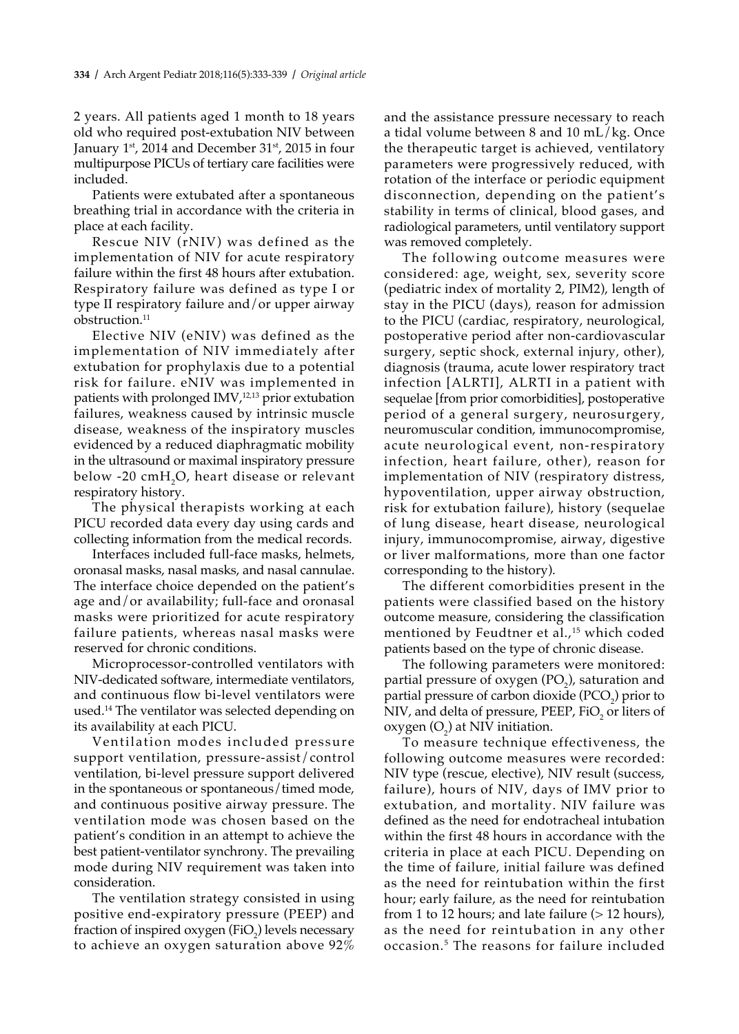2 years. All patients aged 1 month to 18 years old who required post-extubation NIV between January  $1<sup>st</sup>$ , 2014 and December 31 $<sup>st</sup>$ , 2015 in four</sup> multipurpose PICUs of tertiary care facilities were included.

Patients were extubated after a spontaneous breathing trial in accordance with the criteria in place at each facility.

Rescue NIV (rNIV) was defined as the implementation of NIV for acute respiratory failure within the first 48 hours after extubation. Respiratory failure was defined as type I or type II respiratory failure and/or upper airway obstruction.<sup>11</sup>

Elective NIV (eNIV) was defined as the implementation of NIV immediately after extubation for prophylaxis due to a potential risk for failure. eNIV was implemented in patients with prolonged  $IMV<sub>1</sub><sup>12,13</sup>$  prior extubation failures, weakness caused by intrinsic muscle disease, weakness of the inspiratory muscles evidenced by a reduced diaphragmatic mobility in the ultrasound or maximal inspiratory pressure below -20  $\text{cmH}_2\text{O}$ , heart disease or relevant respiratory history.

The physical therapists working at each PICU recorded data every day using cards and collecting information from the medical records.

Interfaces included full-face masks, helmets, oronasal masks, nasal masks, and nasal cannulae. The interface choice depended on the patient's age and/or availability; full-face and oronasal masks were prioritized for acute respiratory failure patients, whereas nasal masks were reserved for chronic conditions.

Microprocessor-controlled ventilators with NIV-dedicated software, intermediate ventilators, and continuous flow bi-level ventilators were used.14 The ventilator was selected depending on its availability at each PICU.

Ventilation modes included pressure support ventilation, pressure-assist/control ventilation, bi-level pressure support delivered in the spontaneous or spontaneous/timed mode, and continuous positive airway pressure. The ventilation mode was chosen based on the patient's condition in an attempt to achieve the best patient-ventilator synchrony. The prevailing mode during NIV requirement was taken into consideration.

The ventilation strategy consisted in using positive end-expiratory pressure (PEEP) and fraction of inspired oxygen (FiO<sub>2</sub>) levels necessary to achieve an oxygen saturation above 92%

and the assistance pressure necessary to reach a tidal volume between 8 and 10 mL/kg. Once the therapeutic target is achieved, ventilatory parameters were progressively reduced, with rotation of the interface or periodic equipment disconnection, depending on the patient's stability in terms of clinical, blood gases, and radiological parameters, until ventilatory support was removed completely.

The following outcome measures were considered: age, weight, sex, severity score (pediatric index of mortality 2, PIM2), length of stay in the PICU (days), reason for admission to the PICU (cardiac, respiratory, neurological, postoperative period after non-cardiovascular surgery, septic shock, external injury, other), diagnosis (trauma, acute lower respiratory tract infection [ALRTI], ALRTI in a patient with sequelae [from prior comorbidities], postoperative period of a general surgery, neurosurgery, neuromuscular condition, immunocompromise, acute neurological event, non-respiratory infection, heart failure, other), reason for implementation of NIV (respiratory distress, hypoventilation, upper airway obstruction, risk for extubation failure), history (sequelae of lung disease, heart disease, neurological injury, immunocompromise, airway, digestive or liver malformations, more than one factor corresponding to the history).

The different comorbidities present in the patients were classified based on the history outcome measure, considering the classification mentioned by Feudtner et al.,<sup>15</sup> which coded patients based on the type of chronic disease.

The following parameters were monitored: partial pressure of oxygen  $(PO<sub>2</sub>)$ , saturation and partial pressure of carbon dioxide  $(PCO<sub>2</sub>)$  prior to NIV, and delta of pressure, PEEP, FiO<sub>2</sub> or liters of oxygen  $(O_2)$  at NIV initiation.

To measure technique effectiveness, the following outcome measures were recorded: NIV type (rescue, elective), NIV result (success, failure), hours of NIV, days of IMV prior to extubation, and mortality. NIV failure was defined as the need for endotracheal intubation within the first 48 hours in accordance with the criteria in place at each PICU. Depending on the time of failure, initial failure was defined as the need for reintubation within the first hour; early failure, as the need for reintubation from 1 to 12 hours; and late failure  $(> 12$  hours), as the need for reintubation in any other occasion.5 The reasons for failure included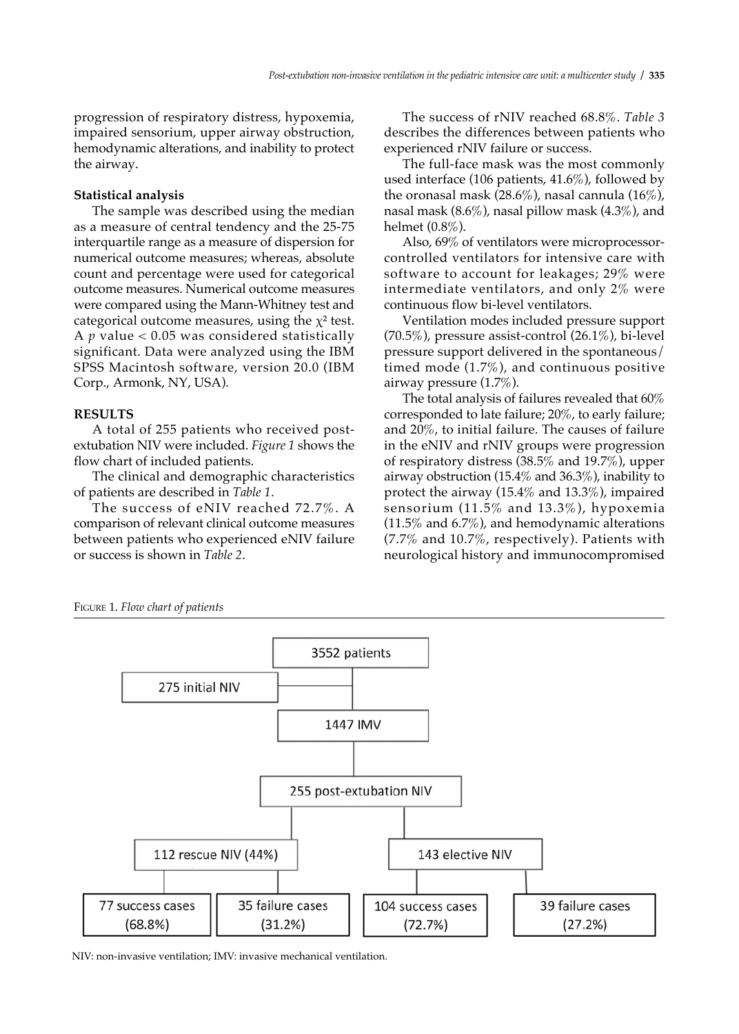progression of respiratory distress, hypoxemia, impaired sensorium, upper airway obstruction, hemodynamic alterations, and inability to protect the airway.

### **Statistical analysis**

The sample was described using the median as a measure of central tendency and the 25-75 interquartile range as a measure of dispersion for numerical outcome measures; whereas, absolute count and percentage were used for categorical outcome measures. Numerical outcome measures were compared using the Mann-Whitney test and categorical outcome measures, using the  $\chi^2$  test. A *p* value < 0.05 was considered statistically significant. Data were analyzed using the IBM SPSS Macintosh software, version 20.0 (IBM Corp., Armonk, NY, USA).

#### **RESULTS**

A total of 255 patients who received postextubation NIV were included. *Figure 1* shows the flow chart of included patients.

The clinical and demographic characteristics of patients are described in *Table 1*.

The success of eNIV reached 72.7%. A comparison of relevant clinical outcome measures between patients who experienced eNIV failure or success is shown in *Table 2*.

The success of rNIV reached 68.8%. *Table 3*  describes the differences between patients who experienced rNIV failure or success.

The full-face mask was the most commonly used interface (106 patients, 41.6%), followed by the oronasal mask  $(28.6\%)$ , nasal cannula  $(16\%)$ , nasal mask (8.6%), nasal pillow mask (4.3%), and helmet (0.8%).

Also, 69% of ventilators were microprocessorcontrolled ventilators for intensive care with software to account for leakages; 29% were intermediate ventilators, and only 2% were continuous flow bi-level ventilators.

Ventilation modes included pressure support  $(70.5\%)$ , pressure assist-control  $(26.1\%)$ , bi-level pressure support delivered in the spontaneous/ timed mode (1.7%), and continuous positive airway pressure (1.7%).

The total analysis of failures revealed that 60% corresponded to late failure; 20%, to early failure; and 20%, to initial failure. The causes of failure in the eNIV and rNIV groups were progression of respiratory distress (38.5% and 19.7%), upper airway obstruction (15.4% and 36.3%), inability to protect the airway (15.4% and 13.3%), impaired sensorium (11.5% and 13.3%), hypoxemia (11.5% and 6.7%), and hemodynamic alterations (7.7% and 10.7%, respectively). Patients with neurological history and immunocompromised

Figure 1. *Flow chart of patients*



NIV: non-invasive ventilation; IMV: invasive mechanical ventilation.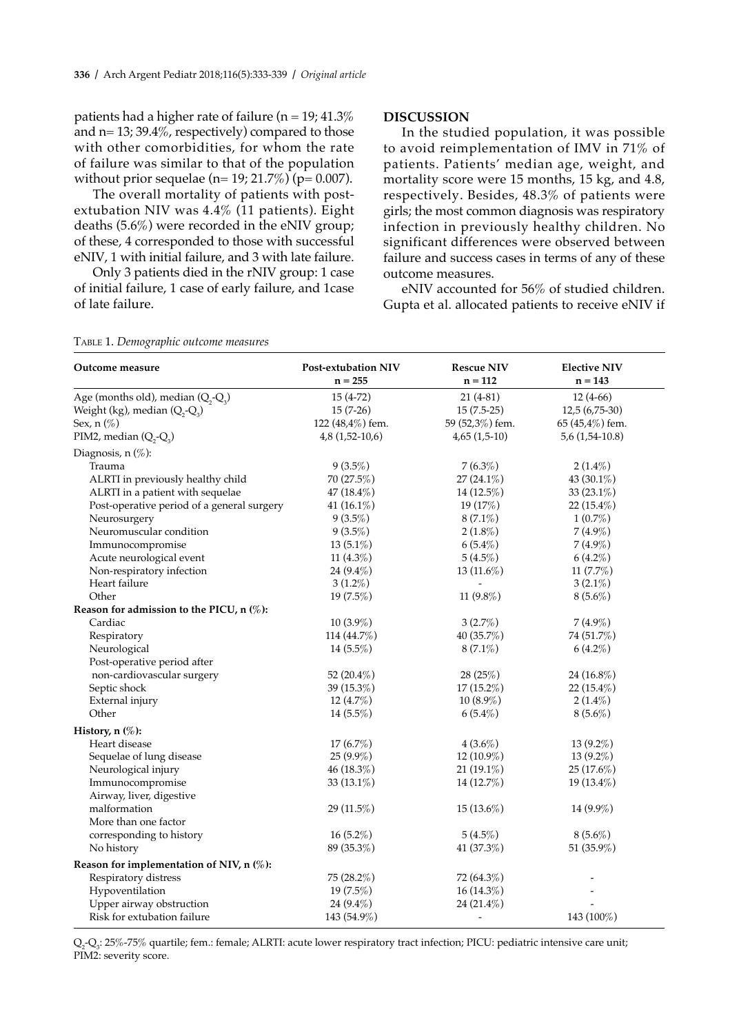patients had a higher rate of failure ( $n = 19$ ; 41.3% and  $n= 13$ ; 39.4%, respectively) compared to those with other comorbidities, for whom the rate of failure was similar to that of the population without prior sequelae (n= 19; 21.7%) (p=  $0.007$ ).

The overall mortality of patients with postextubation NIV was 4.4% (11 patients). Eight deaths (5.6%) were recorded in the eNIV group; of these, 4 corresponded to those with successful eNIV, 1 with initial failure, and 3 with late failure.

Only 3 patients died in the rNIV group: 1 case of initial failure, 1 case of early failure, and 1case of late failure.

#### **DISCUSSION**

In the studied population, it was possible to avoid reimplementation of IMV in 71% of patients. Patients' median age, weight, and mortality score were 15 months, 15 kg, and 4.8, respectively. Besides, 48.3% of patients were girls; the most common diagnosis was respiratory infection in previously healthy children. No significant differences were observed between failure and success cases in terms of any of these outcome measures.

eNIV accounted for 56% of studied children. Gupta et al. allocated patients to receive eNIV if

| Outcome measure                            | Post-extubation NIV | <b>Rescue NIV</b>        | <b>Elective NIV</b> |
|--------------------------------------------|---------------------|--------------------------|---------------------|
|                                            | $n = 255$           | $n = 112$                | $n = 143$           |
| Age (months old), median $(Q_2-Q_3)$       | $15(4-72)$          | $21(4-81)$               | $12(4-66)$          |
| Weight (kg), median $(Q_2-Q_3)$            | $15(7-26)$          | $15(7.5-25)$             | $12,5(6,75-30)$     |
| Sex, n (%)                                 | 122 (48,4%) fem.    | 59 (52,3%) fem.          | 65 $(45,4%)$ fem.   |
| PIM2, median $(Q_2-Q_3)$                   | $4,8(1,52-10,6)$    | $4,65(1,5-10)$           | $5,6(1,54-10.8)$    |
| Diagnosis, $n$ $(\%)$ :                    |                     |                          |                     |
| Trauma                                     | $9(3.5\%)$          | $7(6.3\%)$               | $2(1.4\%)$          |
| ALRTI in previously healthy child          | 70 (27.5%)          | $27(24.1\%)$             | 43 (30.1%)          |
| ALRTI in a patient with sequelae           | $47(18.4\%)$        | 14 (12.5%)               | 33 $(23.1\%)$       |
| Post-operative period of a general surgery | 41 $(16.1\%)$       | 19 (17%)                 | $22(15.4\%)$        |
| Neurosurgery                               | $9(3.5\%)$          | $8(7.1\%)$               | $1(0.7\%)$          |
| Neuromuscular condition                    | $9(3.5\%)$          | $2(1.8\%)$               | $7(4.9\%)$          |
| Immunocompromise                           | $13(5.1\%)$         | $6(5.4\%)$               | $7(4.9\%)$          |
| Acute neurological event                   | 11 $(4.3\%)$        | $5(4.5\%)$               | $6(4.2\%)$          |
| Non-respiratory infection                  | 24 (9.4%)           | 13 (11.6%)               | 11 (7.7%)           |
| Heart failure                              | $3(1.2\%)$          |                          | $3(2.1\%)$          |
| Other                                      | $19(7.5\%)$         | 11 $(9.8\%)$             | $8(5.6\%)$          |
| Reason for admission to the PICU, n (%):   |                     |                          |                     |
| Cardiac                                    | $10(3.9\%)$         | $3(2.7\%)$               | $7(4.9\%)$          |
| Respiratory                                | 114 (44.7%)         | 40 $(35.7\%)$            | 74 (51.7%)          |
| Neurological                               | 14 $(5.5\%)$        | $8(7.1\%)$               | $6(4.2\%)$          |
| Post-operative period after                |                     |                          |                     |
| non-cardiovascular surgery                 | 52 $(20.4\%)$       | 28(25%)                  | 24 $(16.8\%)$       |
| Septic shock                               | 39 (15.3%)          | 17 (15.2%)               | 22 $(15.4\%)$       |
| External injury                            | 12 (4.7%)           | $10(8.9\%)$              | $2(1.4\%)$          |
| Other                                      | 14 $(5.5\%)$        | $6(5.4\%)$               | $8(5.6\%)$          |
| History, n (%):                            |                     |                          |                     |
| Heart disease                              | $17(6.7\%)$         | $4(3.6\%)$               | $13(9.2\%)$         |
| Sequelae of lung disease                   | $25(9.9\%)$         | 12 (10.9%)               | 13 (9.2%)           |
| Neurological injury                        | 46 (18.3%)          | $21(19.1\%)$             | 25(17.6%)           |
| Immunocompromise                           | 33 $(13.1\%)$       | 14 (12.7%)               | 19 $(13.4\%)$       |
| Airway, liver, digestive                   |                     |                          |                     |
| malformation                               | $29(11.5\%)$        | $15(13.6\%)$             | $14(9.9\%)$         |
| More than one factor                       |                     |                          |                     |
| corresponding to history                   | $16(5.2\%)$         | $5(4.5\%)$               | $8(5.6\%)$          |
| No history                                 | 89 (35.3%)          | 41 (37.3%)               | 51 $(35.9\%)$       |
| Reason for implementation of NIV, n (%):   |                     |                          |                     |
| Respiratory distress                       | 75 (28.2%)          | 72 (64.3%)               |                     |
| Hypoventilation                            | $19(7.5\%)$         | $16(14.3\%)$             |                     |
| Upper airway obstruction                   | 24 $(9.4\%)$        | 24 $(21.4\%)$            |                     |
| Risk for extubation failure                | 143 (54.9%)         | $\overline{\phantom{a}}$ | 143 (100%)          |
|                                            |                     |                          |                     |

Table 1. *Demographic outcome measures*

 $\mathrm{Q}_2\mathrm{Q}_3$ : 25%-75% quartile; fem.: female; ALRTI: acute lower respiratory tract infection; PICU: pediatric intensive care unit; PIM2: severity score.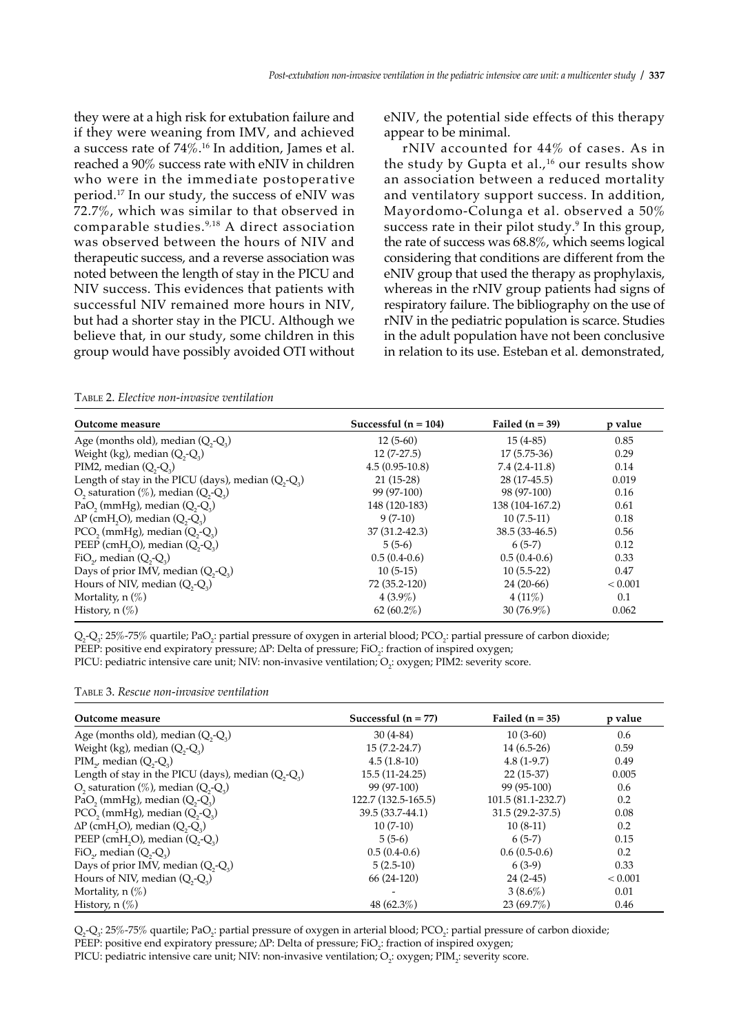they were at a high risk for extubation failure and if they were weaning from IMV, and achieved a success rate of 74%.16 In addition, James et al. reached a 90% success rate with eNIV in children who were in the immediate postoperative period.17 In our study, the success of eNIV was 72.7%, which was similar to that observed in comparable studies.9,18 A direct association was observed between the hours of NIV and therapeutic success, and a reverse association was noted between the length of stay in the PICU and NIV success. This evidences that patients with successful NIV remained more hours in NIV, but had a shorter stay in the PICU. Although we believe that, in our study, some children in this group would have possibly avoided OTI without eNIV, the potential side effects of this therapy appear to be minimal.

rNIV accounted for 44% of cases. As in the study by Gupta et al.,<sup>16</sup> our results show an association between a reduced mortality and ventilatory support success. In addition, Mayordomo-Colunga et al. observed a 50% success rate in their pilot study.9 In this group, the rate of success was 68.8%, which seems logical considering that conditions are different from the eNIV group that used the therapy as prophylaxis, whereas in the rNIV group patients had signs of respiratory failure. The bibliography on the use of rNIV in the pediatric population is scarce. Studies in the adult population have not been conclusive in relation to its use. Esteban et al. demonstrated,

|  | TABLE 2. Elective non-invasive ventilation |  |
|--|--------------------------------------------|--|
|  |                                            |  |

| Successful $(n = 104)$ | Failed $(n = 39)$ | p value |
|------------------------|-------------------|---------|
| $12(5-60)$             | $15(4-85)$        | 0.85    |
| $12(7-27.5)$           | $17(5.75-36)$     | 0.29    |
| $4.5(0.95-10.8)$       | $7.4(2.4-11.8)$   | 0.14    |
| $21(15-28)$            | 28 (17-45.5)      | 0.019   |
| 99 (97-100)            | 98 (97-100)       | 0.16    |
| 148 (120-183)          | 138 (104-167.2)   | 0.61    |
| $9(7-10)$              | $10(7.5-11)$      | 0.18    |
| 37 (31.2-42.3)         | $38.5(33-46.5)$   | 0.56    |
| $5(5-6)$               | $6(5-7)$          | 0.12    |
| $0.5(0.4-0.6)$         | $0.5(0.4-0.6)$    | 0.33    |
| $10(5-15)$             | $10(5.5-22)$      | 0.47    |
| 72 (35.2-120)          | $24(20-66)$       | < 0.001 |
| $4(3.9\%)$             | $4(11\%)$         | 0.1     |
| $62(60.2\%)$           | $30(76.9\%)$      | 0.062   |
|                        |                   |         |

 $\mathrm{Q}_2\mathrm{Q}_3$ : 25%-75% quartile; Pa $\mathrm{O}_2$ : partial pressure of oxygen in arterial blood; PCO $_2$ : partial pressure of carbon dioxide; PEEP: positive end expiratory pressure; ΔP: Delta of pressure; FiO<sub>2</sub>: fraction of inspired oxygen;

PICU: pediatric intensive care unit; NIV: non-invasive ventilation;  $\mathrm{O}_2$ : oxygen; PIM2: severity score.

Table 3. *Rescue non-invasive ventilation*

| Outcome measure                                                           | Successful $(n = 77)$ | Failed $(n = 35)$  | p value |
|---------------------------------------------------------------------------|-----------------------|--------------------|---------|
| Age (months old), median $(Q, -Q)$                                        | $30(4-84)$            | $10(3-60)$         | 0.6     |
| Weight (kg), median $(Q, -Q)$                                             | $15(7.2 - 24.7)$      | $14(6.5-26)$       | 0.59    |
| $PIM_{\gamma}$ , median $(Q, -Q_{\gamma})$                                | $4.5(1.8-10)$         | $4.8(1-9.7)$       | 0.49    |
| Length of stay in the PICU (days), median $(Q, -Q)$                       | 15.5 (11-24.25)       | $22(15-37)$        | 0.005   |
| O <sub>2</sub> saturation $(\%)$ , median $(Q, -Q)$                       | 99 (97-100)           | 99 (95-100)        | 0.6     |
| PaO <sub>2</sub> (mmHg), median $(Q_2-Q_3)$                               | 122.7 (132.5-165.5)   | 101.5 (81.1-232.7) | 0.2     |
| PCO <sub>2</sub> (mmHg), median $(Q, -Q)$                                 | 39.5 (33.7-44.1)      | $31.5(29.2-37.5)$  | 0.08    |
| $\Delta P$ (cmH <sub>2</sub> O), median (Q <sub>2</sub> -Q <sub>3</sub> ) | $10(7-10)$            | $10(8-11)$         | 0.2     |
| PEEP (cmH <sub>2</sub> O), median $(Q_2-Q_3)$                             | $5(5-6)$              | $6(5-7)$           | 0.15    |
| FiO <sub>2</sub> , median $(Q_2-Q_3)$                                     | $0.5(0.4-0.6)$        | $0.6(0.5-0.6)$     | 0.2     |
| Days of prior IMV, median $(Q, -Q)$                                       | $5(2.5-10)$           | $6(3-9)$           | 0.33    |
| Hours of NIV, median $(Q, -Q)$                                            | $66(24-120)$          | $24(2-45)$         | < 0.001 |
| Mortality, $n(\%)$                                                        |                       | $3(8.6\%)$         | 0.01    |
| History, $n(\%)$                                                          | 48 $(62.3\%)$         | 23 (69.7%)         | 0.46    |

 $\mathrm{Q}_2\mathrm{Q}_3$ : 25%-75% quartile; Pa $\mathrm{O}_2$ : partial pressure of oxygen in arterial blood; PCO<sub>2</sub>: partial pressure of carbon dioxide;

PEEP: positive end expiratory pressure; ΔP: Delta of pressure; FiO<sub>2</sub>: fraction of inspired oxygen;

PICU: pediatric intensive care unit; NIV: non-invasive ventilation;  $\rm O_2$ : oxygen; PIM<sub>2</sub>: severity score.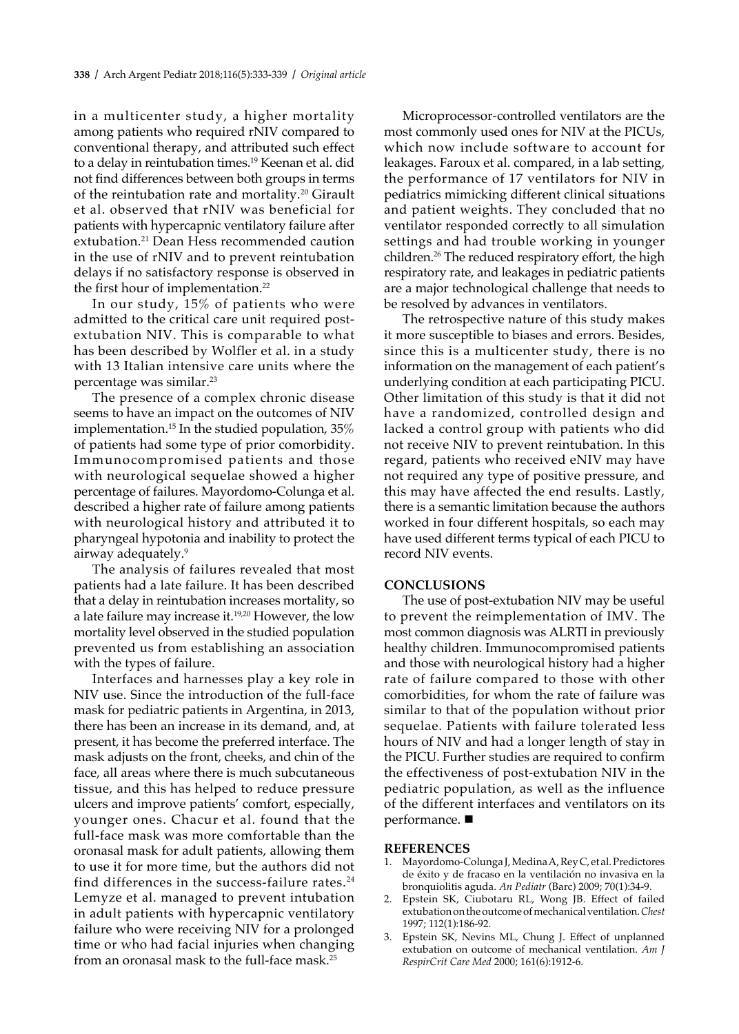in a multicenter study, a higher mortality among patients who required rNIV compared to conventional therapy, and attributed such effect to a delay in reintubation times.<sup>19</sup> Keenan et al. did not find differences between both groups in terms of the reintubation rate and mortality.<sup>20</sup> Girault et al. observed that rNIV was beneficial for patients with hypercapnic ventilatory failure after extubation.<sup>21</sup> Dean Hess recommended caution in the use of rNIV and to prevent reintubation delays if no satisfactory response is observed in the first hour of implementation.<sup>22</sup>

In our study, 15% of patients who were admitted to the critical care unit required postextubation NIV. This is comparable to what has been described by Wolfler et al. in a study with 13 Italian intensive care units where the percentage was similar.23

The presence of a complex chronic disease seems to have an impact on the outcomes of NIV implementation.15 In the studied population, 35% of patients had some type of prior comorbidity. Immunocompromised patients and those with neurological sequelae showed a higher percentage of failures. Mayordomo-Colunga et al. described a higher rate of failure among patients with neurological history and attributed it to pharyngeal hypotonia and inability to protect the airway adequately.9

The analysis of failures revealed that most patients had a late failure. It has been described that a delay in reintubation increases mortality, so a late failure may increase it.19,20 However, the low mortality level observed in the studied population prevented us from establishing an association with the types of failure.

Interfaces and harnesses play a key role in NIV use. Since the introduction of the full-face mask for pediatric patients in Argentina, in 2013, there has been an increase in its demand, and, at present, it has become the preferred interface. The mask adjusts on the front, cheeks, and chin of the face, all areas where there is much subcutaneous tissue, and this has helped to reduce pressure ulcers and improve patients' comfort, especially, younger ones. Chacur et al. found that the full-face mask was more comfortable than the oronasal mask for adult patients, allowing them to use it for more time, but the authors did not find differences in the success-failure rates. $24$ Lemyze et al. managed to prevent intubation in adult patients with hypercapnic ventilatory failure who were receiving NIV for a prolonged time or who had facial injuries when changing from an oronasal mask to the full-face mask.25

Microprocessor-controlled ventilators are the most commonly used ones for NIV at the PICUs, which now include software to account for leakages. Faroux et al. compared, in a lab setting, the performance of 17 ventilators for NIV in pediatrics mimicking different clinical situations and patient weights. They concluded that no ventilator responded correctly to all simulation settings and had trouble working in younger children.<sup>26</sup> The reduced respiratory effort, the high respiratory rate, and leakages in pediatric patients are a major technological challenge that needs to be resolved by advances in ventilators.

The retrospective nature of this study makes it more susceptible to biases and errors. Besides, since this is a multicenter study, there is no information on the management of each patient's underlying condition at each participating PICU. Other limitation of this study is that it did not have a randomized, controlled design and lacked a control group with patients who did not receive NIV to prevent reintubation. In this regard, patients who received eNIV may have not required any type of positive pressure, and this may have affected the end results. Lastly, there is a semantic limitation because the authors worked in four different hospitals, so each may have used different terms typical of each PICU to record NIV events.

#### **CONCLUSIONS**

The use of post-extubation NIV may be useful to prevent the reimplementation of IMV. The most common diagnosis was ALRTI in previously healthy children. Immunocompromised patients and those with neurological history had a higher rate of failure compared to those with other comorbidities, for whom the rate of failure was similar to that of the population without prior sequelae. Patients with failure tolerated less hours of NIV and had a longer length of stay in the PICU. Further studies are required to confirm the effectiveness of post-extubation NIV in the pediatric population, as well as the influence of the different interfaces and ventilators on its performance.  $\blacksquare$ 

#### **REFERENCES**

- 1. Mayordomo-Colunga J, Medina A, Rey C, et al. Predictores de éxito y de fracaso en la ventilación no invasiva en la bronquiolitis aguda. *An Pediatr* (Barc) 2009; 70(1):34-9.
- 2. Epstein SK, Ciubotaru RL, Wong JB. Effect of failed extubation on the outcome of mechanical ventilation. *Chest* 1997; 112(1):186-92.
- Epstein SK, Nevins ML, Chung J. Effect of unplanned extubation on outcome of mechanical ventilation. *Am J RespirCrit Care Med* 2000; 161(6):1912-6.